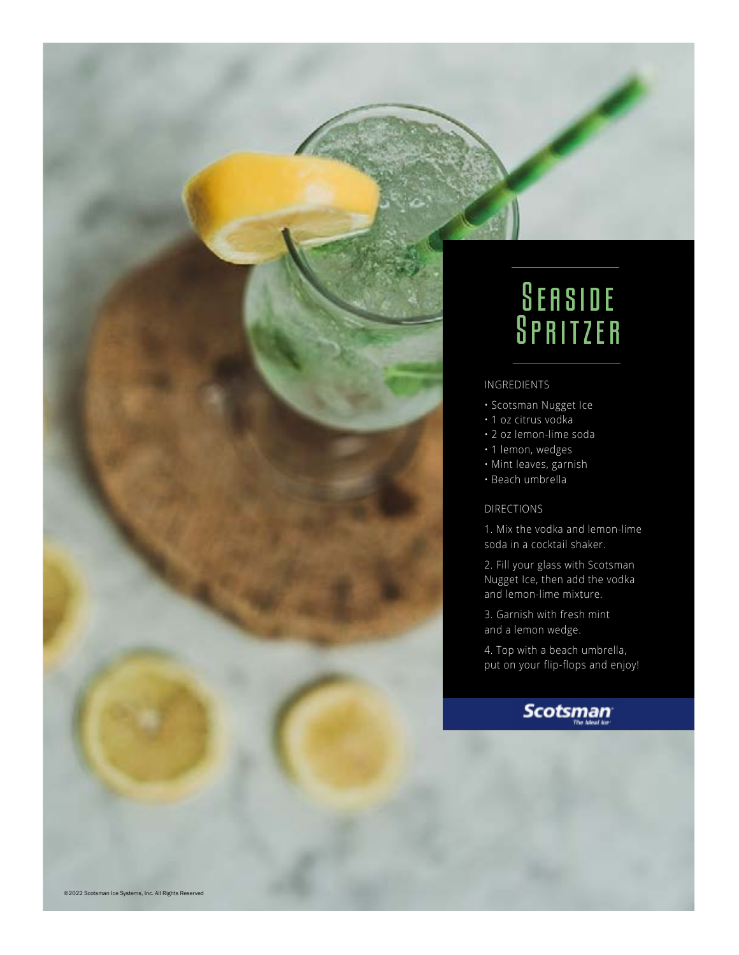## **SEASIDE SPRITZER**

### INGREDIENTS

- Scotsman Nugget Ice
- 1 oz citrus vodka
- 2 oz lemon-lime soda
- 1 lemon, wedges
- Mint leaves, garnish
- Beach umbrella

### DIRECTIONS

1. Mix the vodka and lemon-lime soda in a cocktail shaker.

2. Fill your glass with Scotsman Nugget Ice, then add the vodka and lemon-lime mixture.

3. Garnish with fresh mint and a lemon wedge.

4. Top with a beach umbrella, put on your flip-flops and enjoy!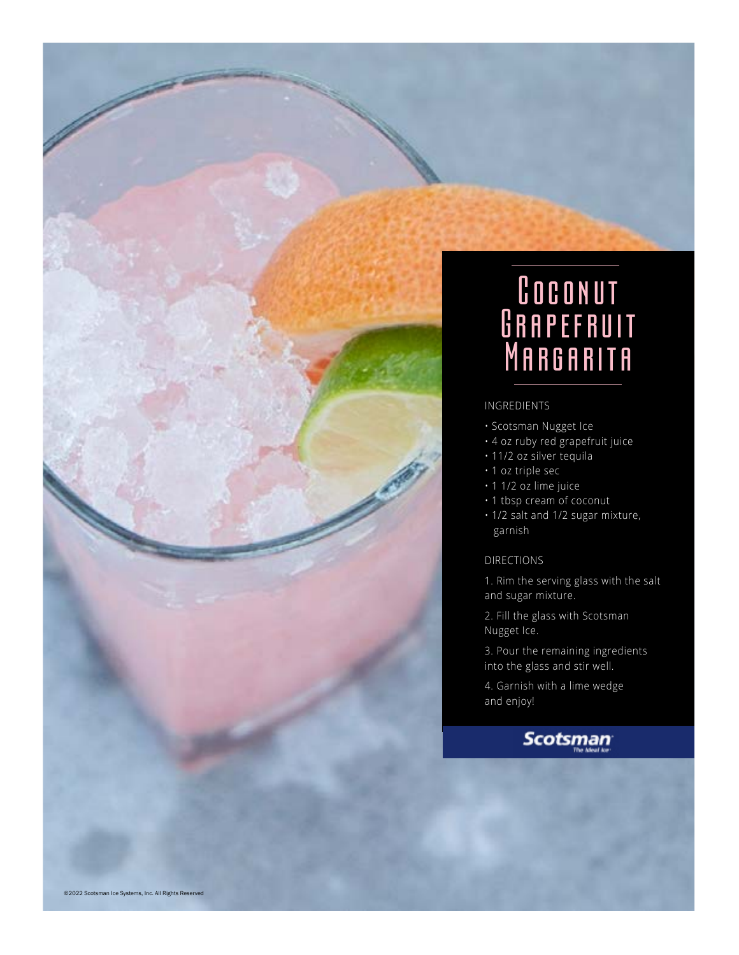

- Scotsman Nugget Ice
- 4 oz ruby red grapefruit juice
- 11/2 oz silver tequila
- 1 oz triple sec
- 1 1/2 oz lime juice
- 1 tbsp cream of coconut
- 1/2 salt and 1/2 sugar mixture, garnish

### DIRECTIONS

1. Rim the serving glass with the salt and sugar mixture.

2. Fill the glass with Scotsman Nugget Ice.

3. Pour the remaining ingredients into the glass and stir well.

4. Garnish with a lime wedge and enjoy!

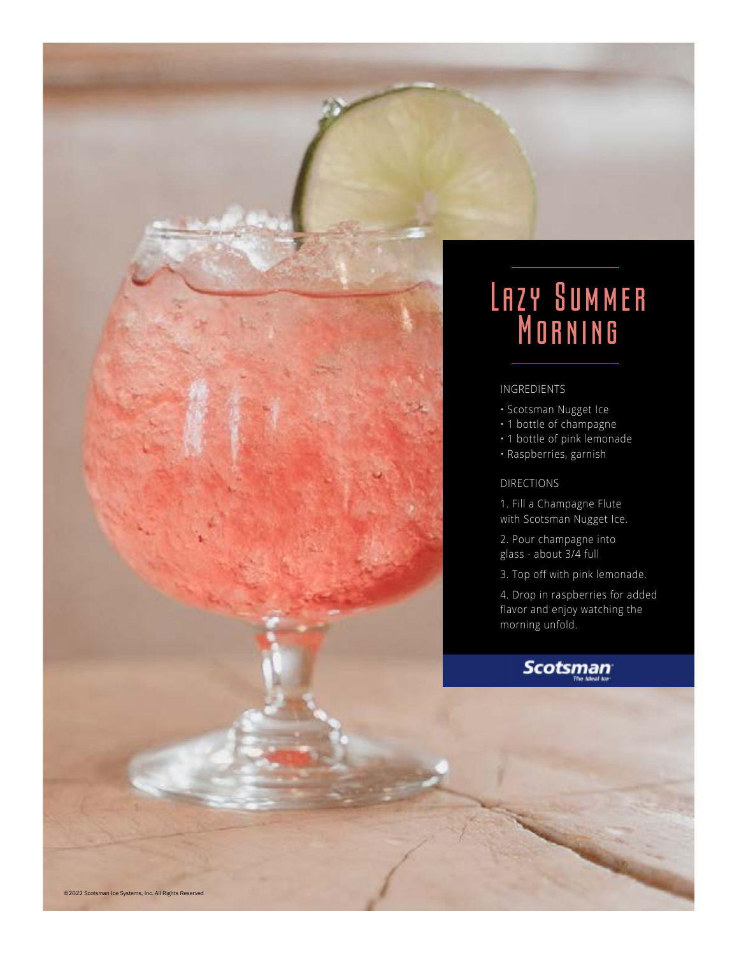

- Scotsman Nugget Ice
- 1 bottle of champagne
- 1 bottle of pink lemonade
- Raspberries, garnish

#### DIRECTIONS

- 1. Fill a Champagne Flute with Scotsman Nugget Ice.
- 2. Pour champagne into glass - about 3/4 full
- 3. Top off with pink lemonade.

4. Drop in raspberries for added flavor and enjoy watching the morning unfold.

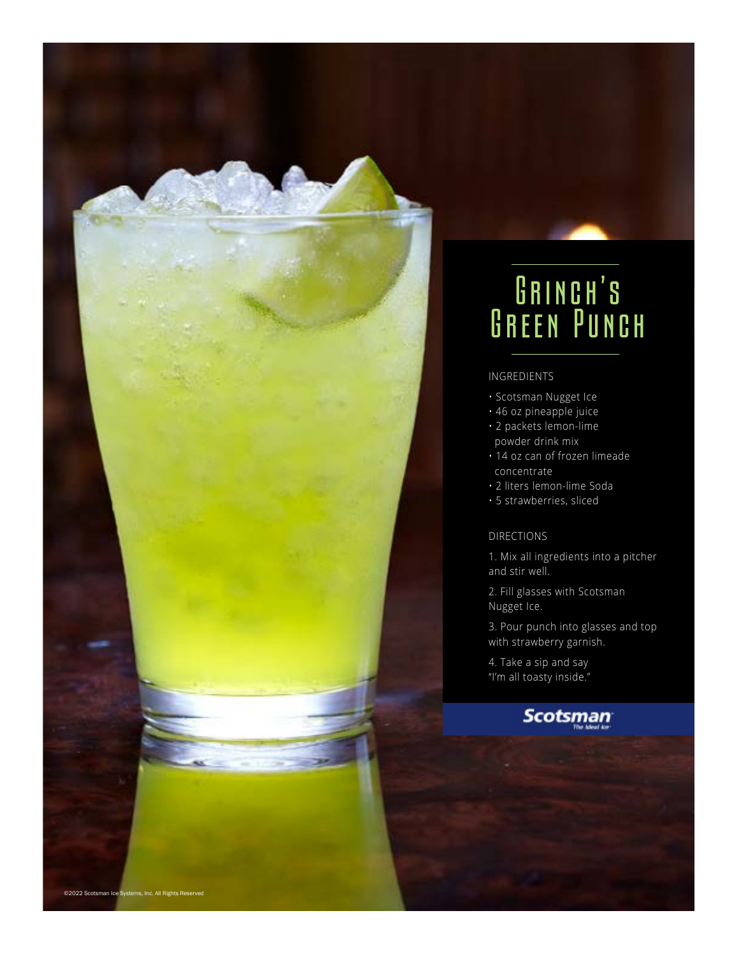## GRINCH'S Green Punch

### INGREDIENTS

- Scotsman Nugget Ice
- 46 oz pineapple juice
- 2 packets lemon-lime powder drink mix
- 14 oz can of frozen limeade concentrate
- 2 liters lemon-lime Soda
- 5 strawberries, sliced

#### DIRECTIONS

1. Mix all ingredients into a pitcher and stir well.

2. Fill glasses with Scotsman Nugget Ice.

3. Pour punch into glasses and top with strawberry garnish.

4. Take a sip and say "I'm all toasty inside."

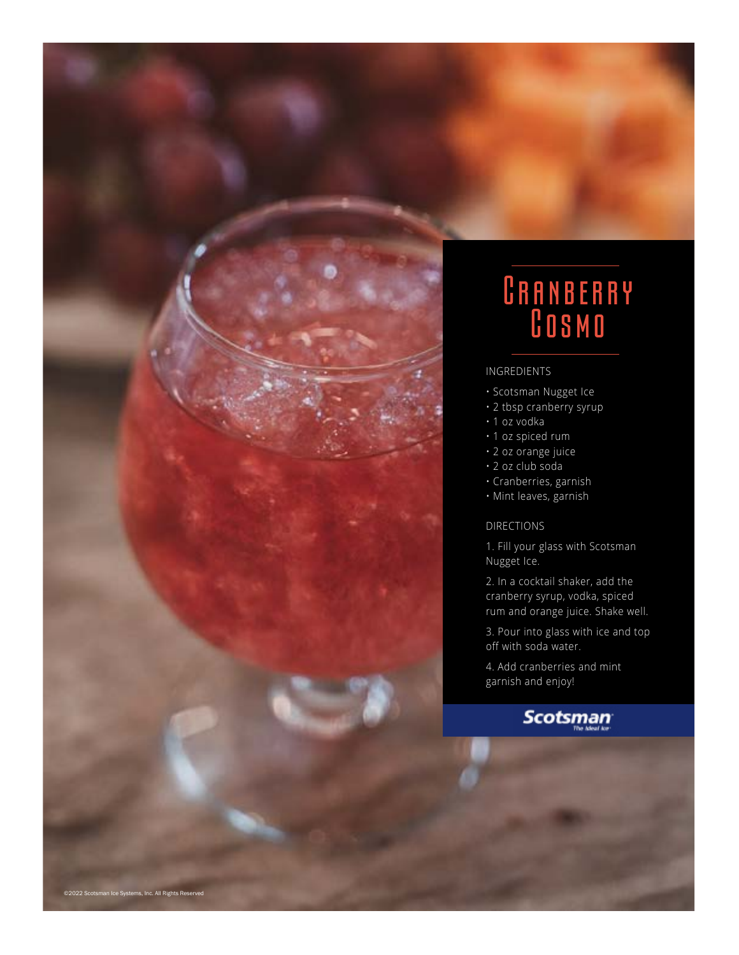

## CRANBERRY Cosmo

#### INGREDIENTS

- Scotsman Nugget Ice
- 2 tbsp cranberry syrup
- 1 oz vodka
- 1 oz spiced rum
- 2 oz orange juice
- 2 oz club soda
- Cranberries, garnish
- Mint leaves, garnish

### DIRECTIONS

1. Fill your glass with Scotsman Nugget Ice.

2. In a cocktail shaker, add the cranberry syrup, vodka, spiced rum and orange juice. Shake well.

3. Pour into glass with ice and top off with soda water.

4. Add cranberries and mint garnish and enjoy!

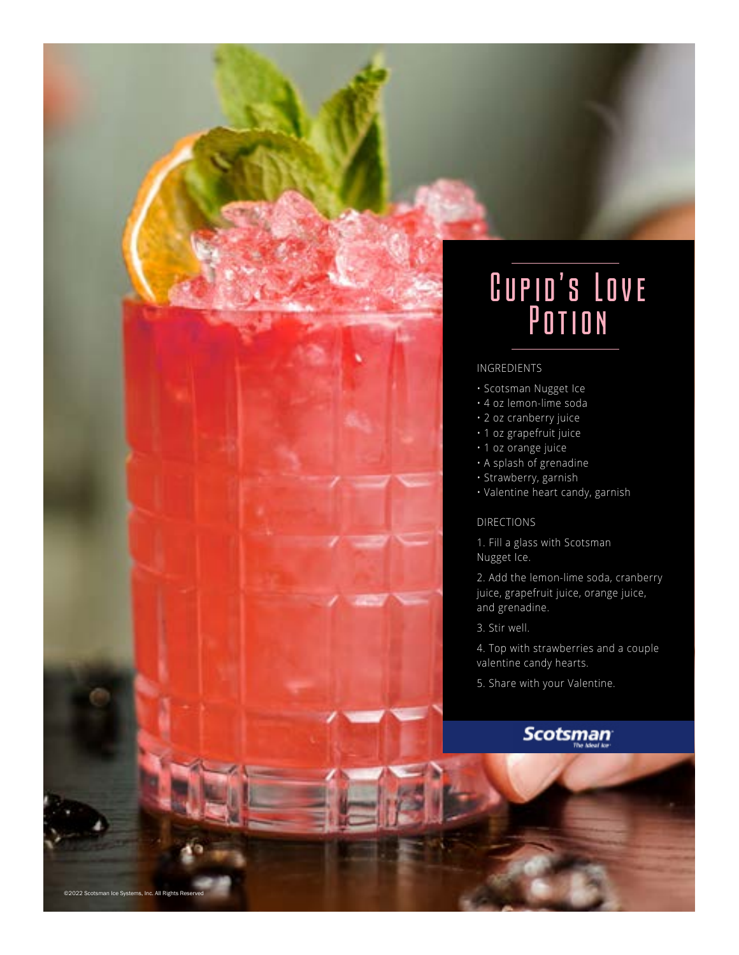## Cupid's Love Potion

### INGREDIENTS

- Scotsman Nugget Ice
- 4 oz lemon-lime soda
- 2 oz cranberry juice
- 1 oz grapefruit juice
- 1 oz orange juice
- A splash of grenadine
- Strawberry, garnish
- Valentine heart candy, garnish

#### DIRECTIONS

1. Fill a glass with Scotsman Nugget Ice.

2. Add the lemon-lime soda, cranberry juice, grapefruit juice, orange juice, and grenadine.

3. Stir well.

©2022 Scotsman Ice Systems, Inc. All Rights Re

4. Top with strawberries and a couple valentine candy hearts.

5. Share with your Valentine.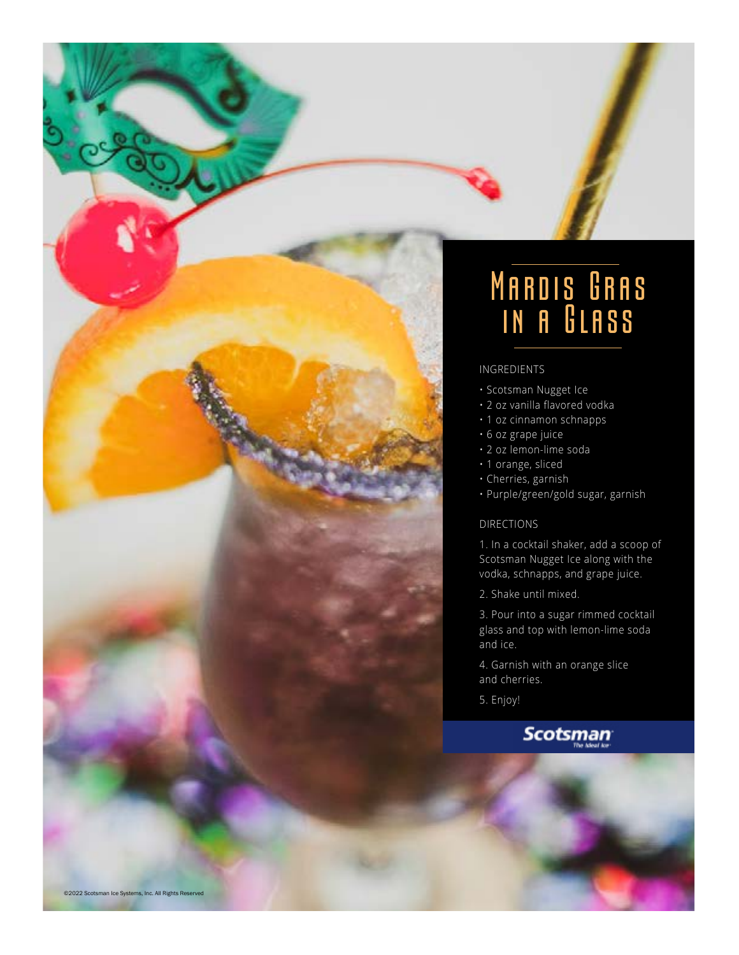

## Mardis Gras in a Glass

#### INGREDIENTS

- Scotsman Nugget Ice
- 2 oz vanilla flavored vodka
- 1 oz cinnamon schnapps
- 6 oz grape juice
- 2 oz lemon-lime soda
- 1 orange, sliced
- Cherries, garnish
- Purple/green/gold sugar, garnish

### DIRECTIONS

1. In a cocktail shaker, add a scoop of Scotsman Nugget Ice along with the vodka, schnapps, and grape juice.

2. Shake until mixed.

3. Pour into a sugar rimmed cocktail glass and top with lemon-lime soda and ice.

4. Garnish with an orange slice and cherries.

5. Enjoy!

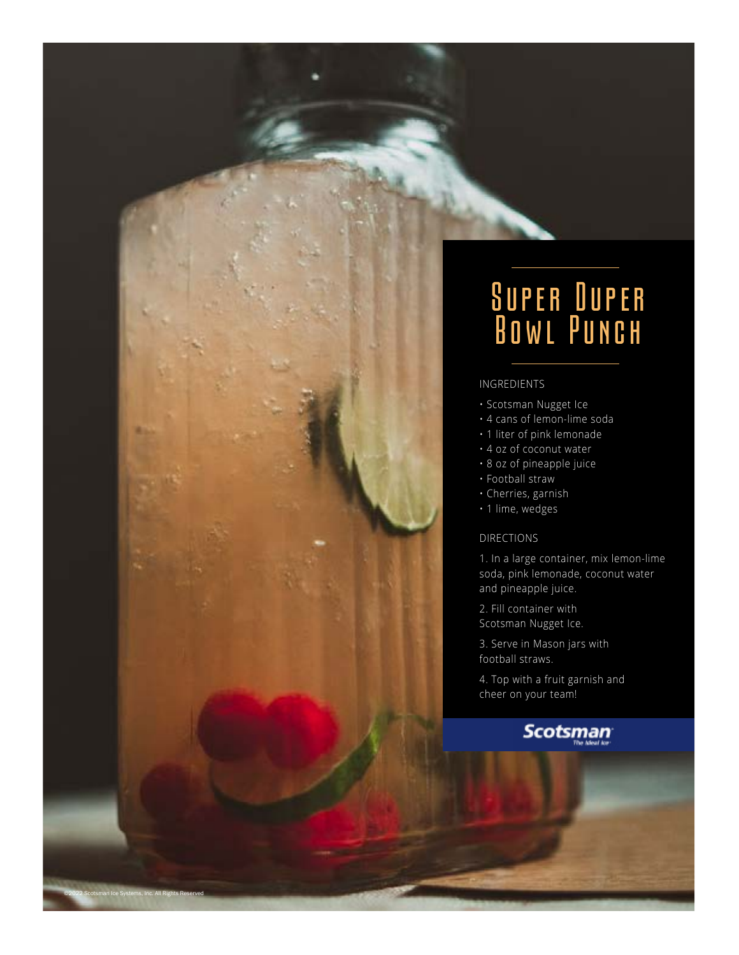## Super Duper Bowl Punch

### INGREDIENTS

- Scotsman Nugget Ice
- 4 cans of lemon-lime soda
- 1 liter of pink lemonade
- 4 oz of coconut water
- 8 oz of pineapple juice
- Football straw
- Cherries, garnish
- 1 lime, wedges

#### DIRECTIONS

©2022 Scotsman Ice Systems, Inc. All Rights Reserved

1. In a large container, mix lemon-lime soda, pink lemonade, coconut water and pineapple juice.

2. Fill container with Scotsman Nugget Ice.

3. Serve in Mason jars with football straws.

4. Top with a fruit garnish and cheer on your team!

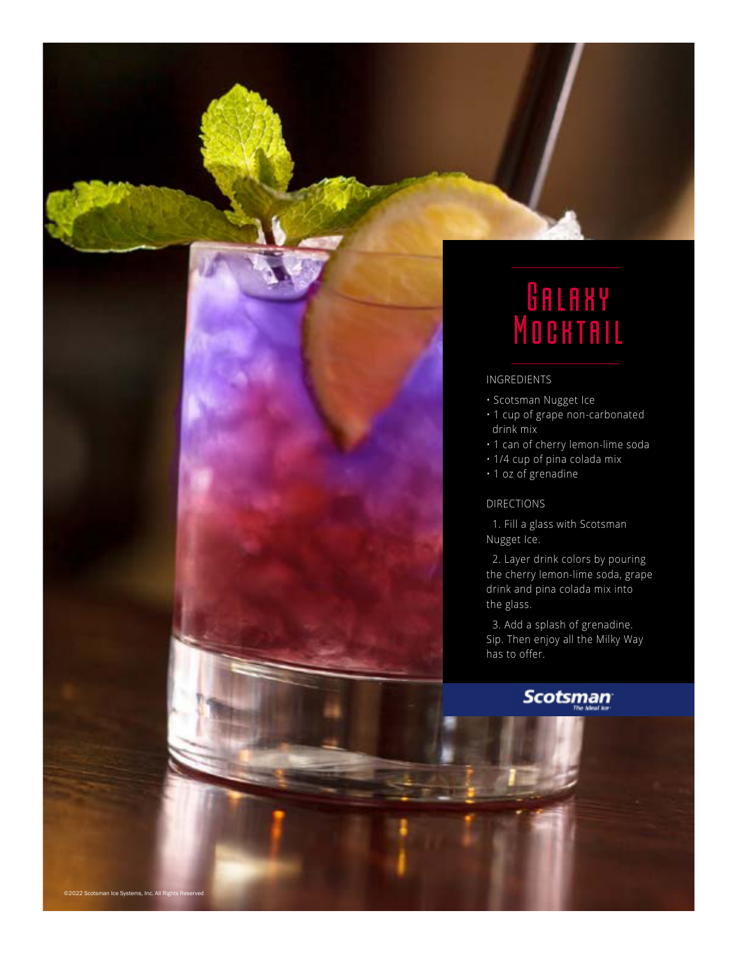

## **GALAXY** Mocktail

### INGREDIENTS

- Scotsman Nugget Ice
- 1 cup of grape non-carbonated drink mix
- 1 can of cherry lemon-lime soda
- 1/4 cup of pina colada mix
- 1 oz of grenadine

#### DIRECTIONS

 1. Fill a glass with Scotsman Nugget Ice.

 2. Layer drink colors by pouring the cherry lemon-lime soda, grape drink and pina colada mix into the glass.

 3. Add a splash of grenadine. Sip. Then enjoy all the Milky Way has to offer.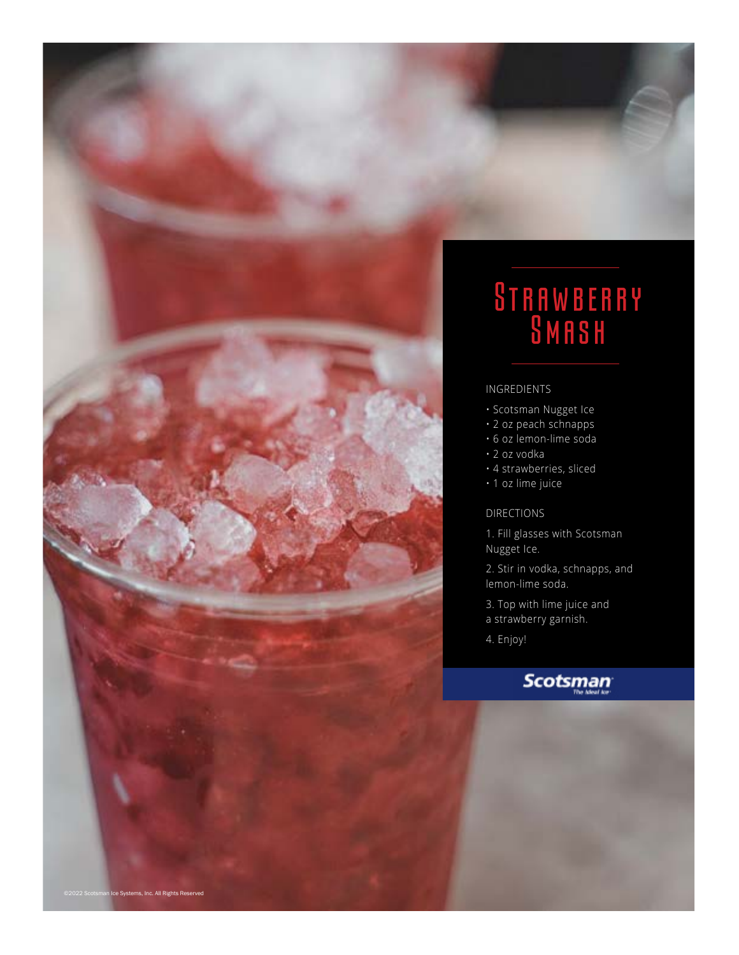

### **STRAWBERRY SMASH**

### INGREDIENTS

- Scotsman Nugget Ice
- 2 oz peach schnapps
- 6 oz lemon-lime soda
- 2 oz vodka
- 4 strawberries, sliced
- 1 oz lime juice

### DIRECTIONS

- 1. Fill glasses with Scotsman Nugget Ice.
- 2. Stir in vodka, schnapps, and lemon-lime soda.
- 3. Top with lime juice and
- a strawberry garnish.
- 4. Enjoy!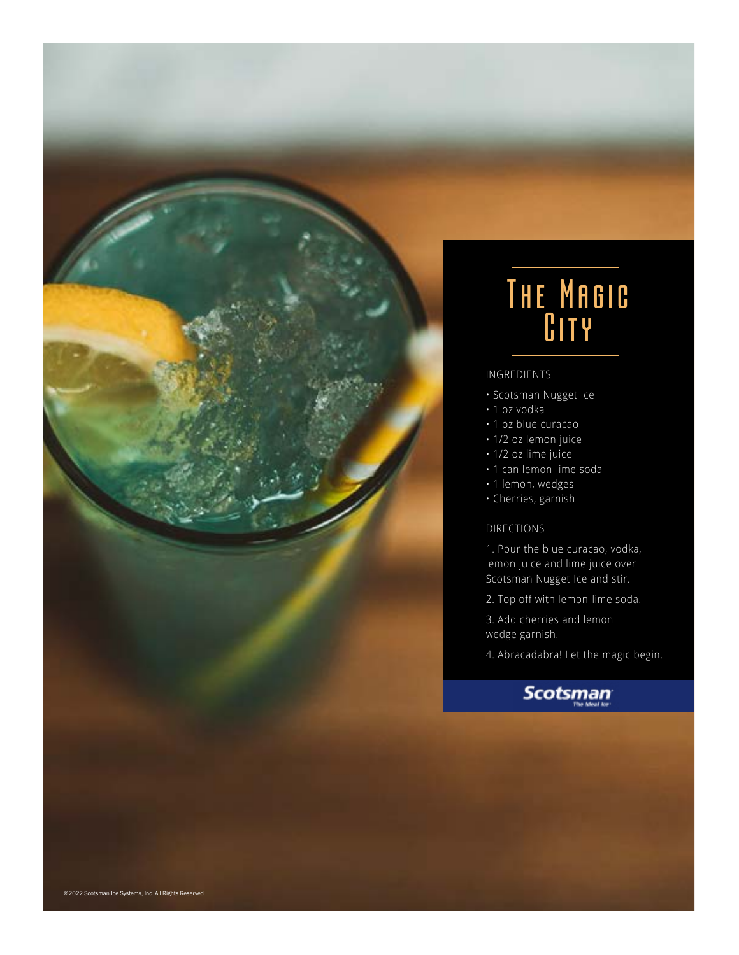

## The Magic C<sub>ITY</sub>

#### INGREDIENTS

- Scotsman Nugget Ice
- 1 oz vodka
- 1 oz blue curacao
- 1/2 oz lemon juice
- 1/2 oz lime juice
- 1 can lemon-lime soda
- 1 lemon, wedges
- Cherries, garnish

### DIRECTIONS

1. Pour the blue curacao, vodka, lemon juice and lime juice over Scotsman Nugget Ice and stir.

- 2. Top off with lemon-lime soda.
- 3. Add cherries and lemon wedge garnish.
- 4. Abracadabra! Let the magic begin.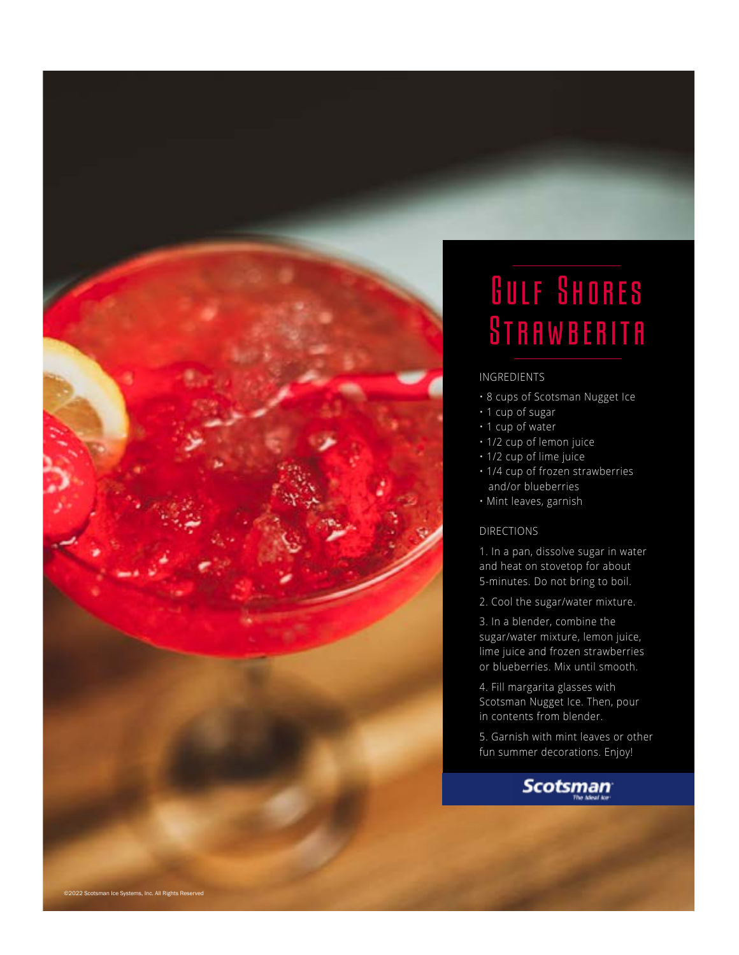

## Gulf Shores **STRAWBERITA**

### INGREDIENTS

- 8 cups of Scotsman Nugget Ice
- 1 cup of sugar
- 1 cup of water
- 1/2 cup of lemon juice
- 1/2 cup of lime juice
- 1/4 cup of frozen strawberries and/or blueberries
- Mint leaves, garnish

### DIRECTIONS

1. In a pan, dissolve sugar in water and heat on stovetop for about 5-minutes. Do not bring to boil.

2. Cool the sugar/water mixture.

3. In a blender, combine the sugar/water mixture, lemon juice, lime juice and frozen strawberries or blueberries. Mix until smooth.

4. Fill margarita glasses with Scotsman Nugget Ice. Then, pour in contents from blender.

5. Garnish with mint leaves or other fun summer decorations. Enjoy!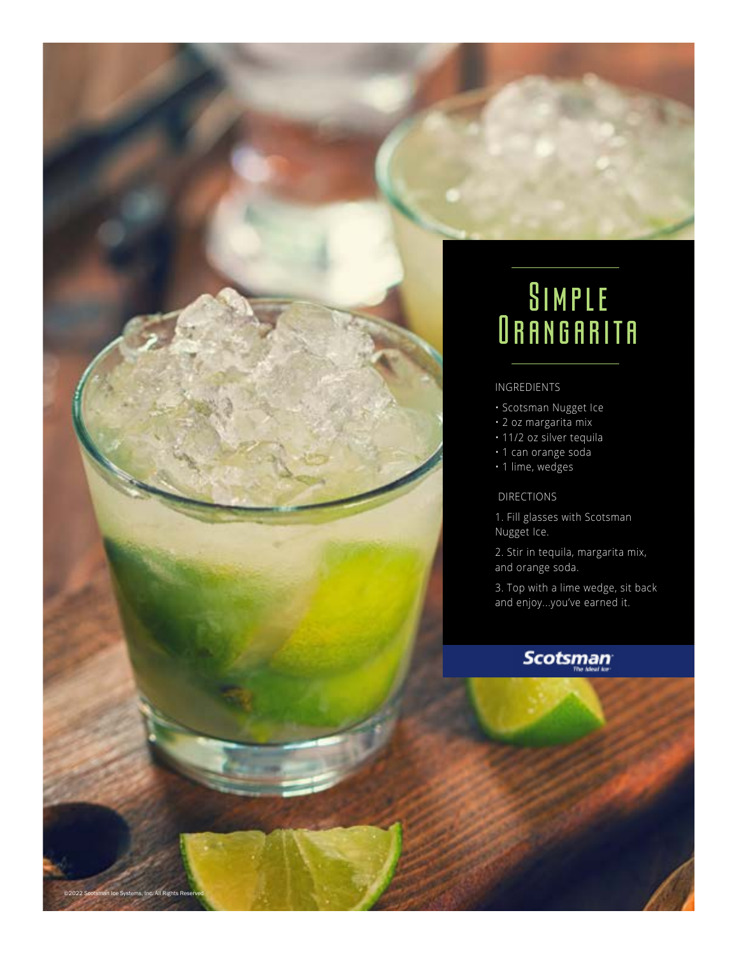

- Scotsman Nugget Ice
- 2 oz margarita mix
- 11/2 oz silver tequila
- 1 can orange soda
- 1 lime, wedges

DIRECTIONS

1. Fill glasses with Scotsman Nugget Ice.

2. Stir in tequila, margarita mix, and orange soda.

3. Top with a lime wedge, sit back and enjoy...you've earned it.

### **Scotsman**

nan Ice Systems, Inc. All Rights Re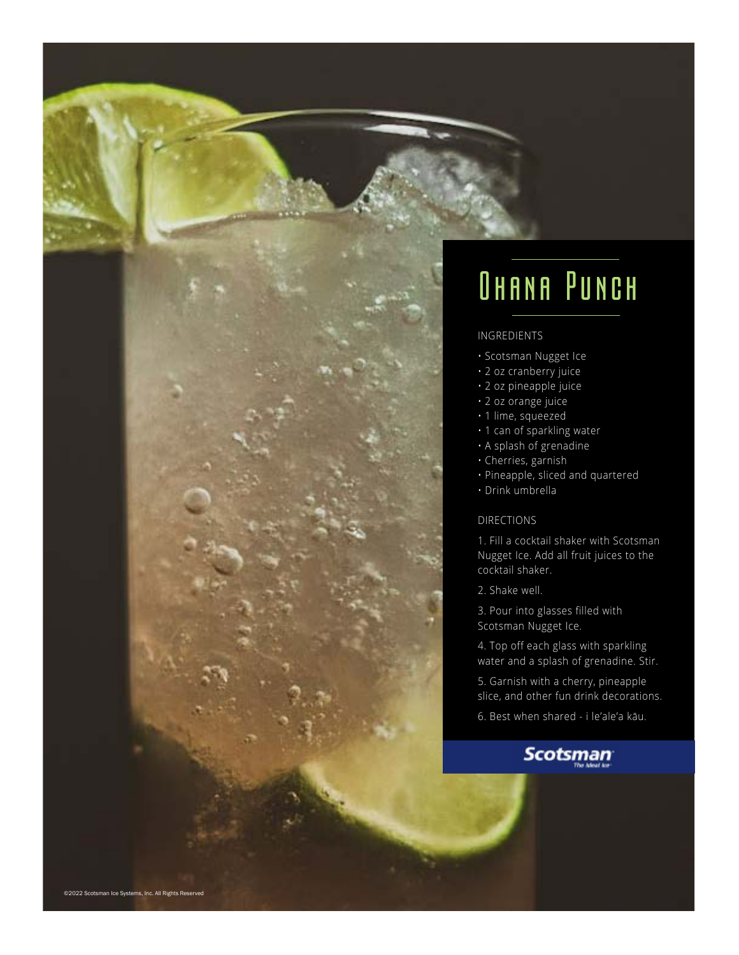

# OHANA PUNCH

#### INGREDIENTS

- Scotsman Nugget Ice
- 2 oz cranberry juice
- 2 oz pineapple juice
- 2 oz orange juice
- 1 lime, squeezed
- 1 can of sparkling water
- A splash of grenadine
- Cherries, garnish
- Pineapple, sliced and quartered
- Drink umbrella

### DIRECTIONS

1. Fill a cocktail shaker with Scotsman Nugget Ice. Add all fruit juices to the cocktail shaker.

2. Shake well.

3. Pour into glasses filled with Scotsman Nugget Ice.

4. Top off each glass with sparkling water and a splash of grenadine. Stir.

5. Garnish with a cherry, pineapple slice, and other fun drink decorations.

6. Best when shared - i le'ale'a kāu.

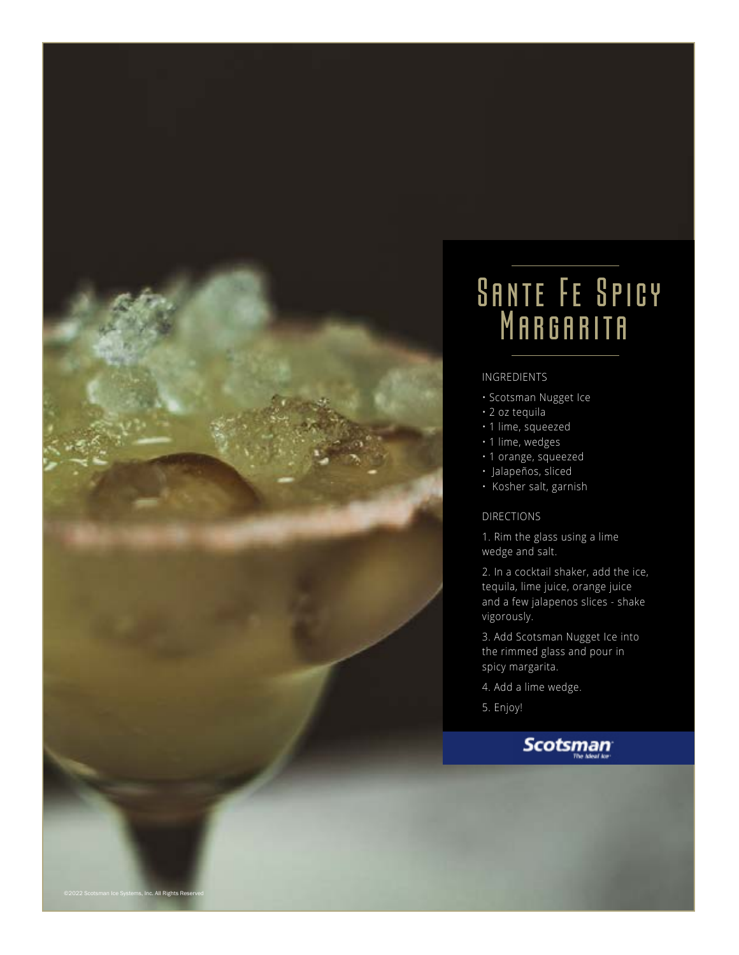

## **SANTE FE SPICY** MARGARITA

### INGREDIENTS

- Scotsman Nugget Ice
- 2 oz tequila
- 1 lime, squeezed
- 1 lime, wedges
- 1 orange, squeezed
- Jalapeños, sliced
- Kosher salt, garnish

#### DIRECTIONS

1. Rim the glass using a lime wedge and salt.

2. In a cocktail shaker, add the ice, tequila, lime juice, orange juice and a few jalapenos slices - shake vigorously.

3. Add Scotsman Nugget Ice into the rimmed glass and pour in spicy margarita.

- 4. Add a lime wedge.
- 5. Enjoy!

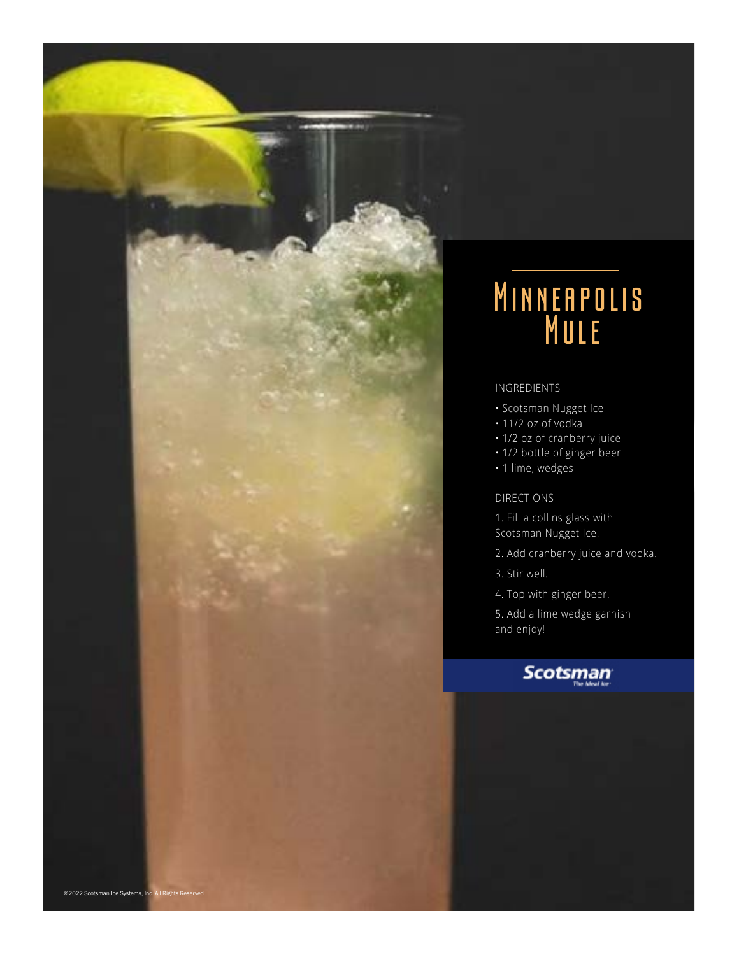### Minneapolis **MULE**

### INGREDIENTS

- Scotsman Nugget Ice
- 11/2 oz of vodka
- 1/2 oz of cranberry juice
- 1/2 bottle of ginger beer
- 1 lime, wedges

### DIRECTIONS

- 1. Fill a collins glass with Scotsman Nugget Ice.
- 2. Add cranberry juice and vodka.
- 3. Stir well.
- 4. Top with ginger beer.

5. Add a lime wedge garnish and enjoy!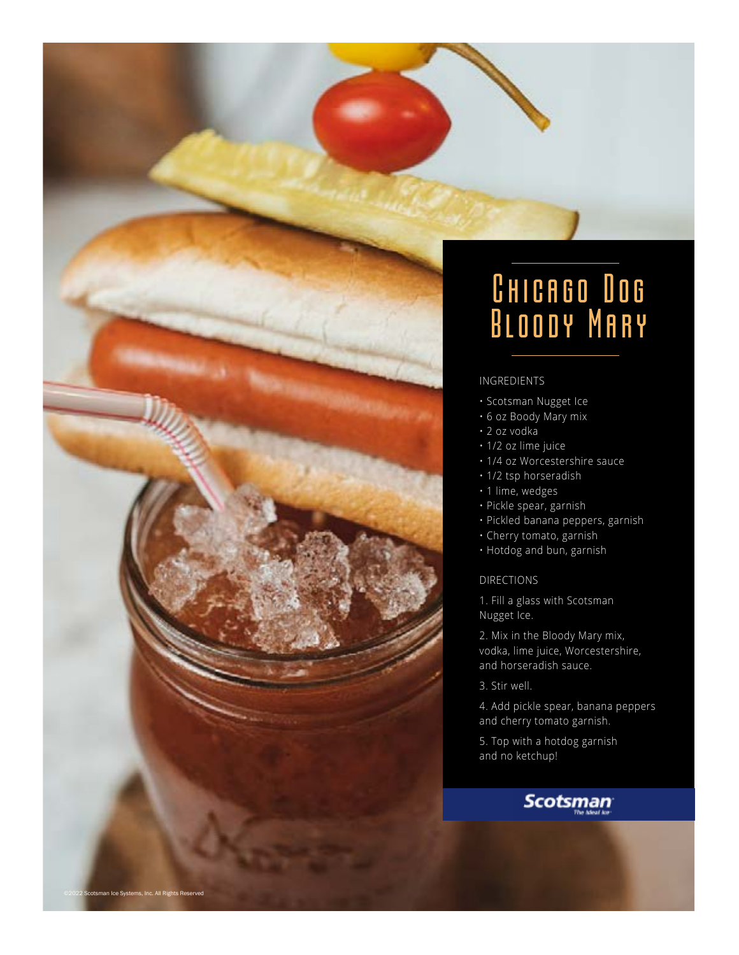

## Chicago Dog Bloody Mary

### INGREDIENTS

- Scotsman Nugget Ice
- 6 oz Boody Mary mix
- 2 oz vodka
- 1/2 oz lime juice
- 1/4 oz Worcestershire sauce
- 1/2 tsp horseradish
- 1 lime, wedges
- Pickle spear, garnish
- Pickled banana peppers, garnish
- Cherry tomato, garnish
- Hotdog and bun, garnish

DIRECTIONS

1. Fill a glass with Scotsman Nugget Ice.

2. Mix in the Bloody Mary mix, vodka, lime juice, Worcestershire, and horseradish sauce.

3. Stir well.

4. Add pickle spear, banana peppers and cherry tomato garnish.

5. Top with a hotdog garnish and no ketchup!

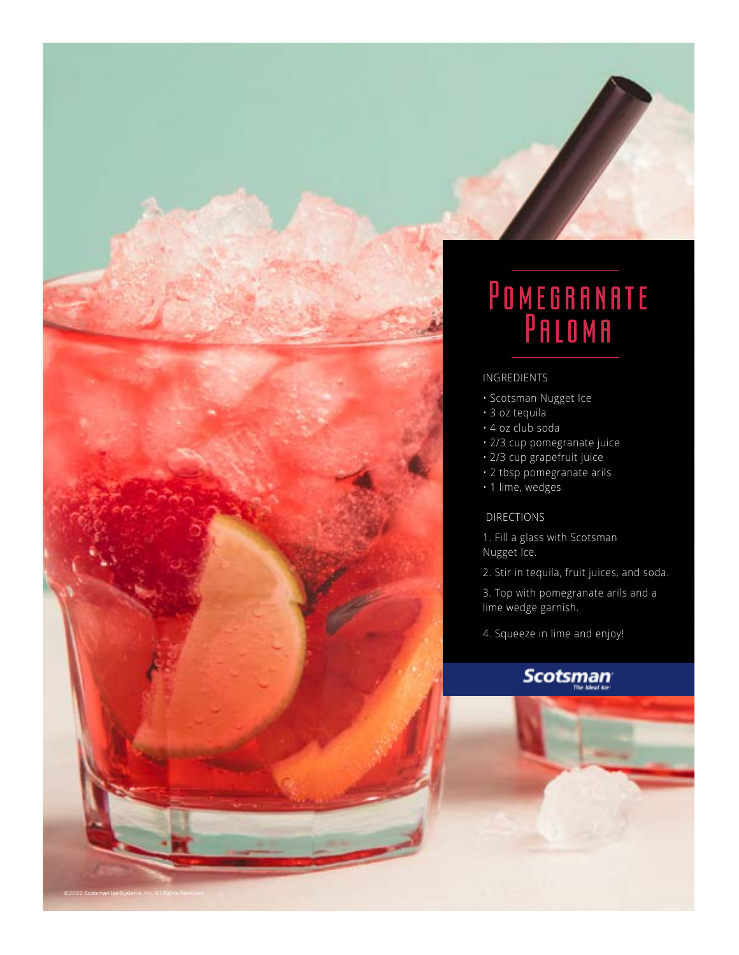

- Scotsman Nugget Ice
- 3 oz tequila
- 4 oz club soda
- 2/3 cup pomegranate juice
- 2/3 cup grapefruit juice
- 2 tbsp pomegranate arils
- 1 lime, wedges

### DIRECTIONS

©2022 Scotsman Ice Systems, Inc. All Rights Reserved

- 1. Fill a glass with Scotsman Nugget Ice.
- 2. Stir in tequila, fruit juices, and soda.

3. Top with pomegranate arils and a lime wedge garnish.

4. Squeeze in lime and enjoy!